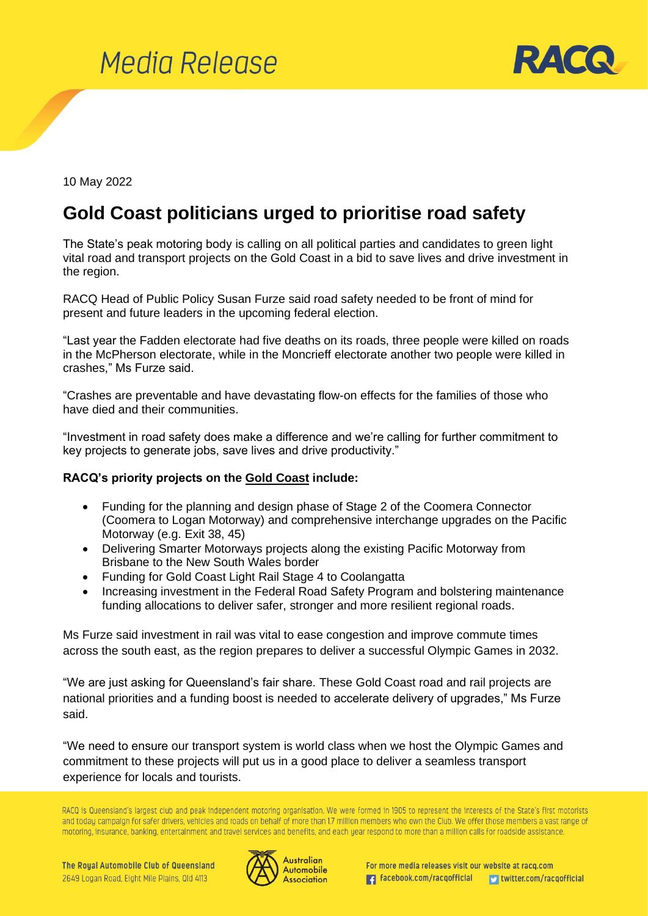



10 May 2022

## **Gold Coast politicians urged to prioritise road safety**

The State's peak motoring body is calling on all political parties and candidates to green light vital road and transport projects on the Gold Coast in a bid to save lives and drive investment in the region.

RACQ Head of Public Policy Susan Furze said road safety needed to be front of mind for present and future leaders in the upcoming federal election.

"Last year the Fadden electorate had five deaths on its roads, three people were killed on roads in the McPherson electorate, while in the Moncrieff electorate another two people were killed in crashes," Ms Furze said.

"Crashes are preventable and have devastating flow-on effects for the families of those who have died and their communities.

"Investment in road safety does make a difference and we're calling for further commitment to key projects to generate jobs, save lives and drive productivity."

## **RACQ's priority projects on the Gold Coast include:**

- Funding for the planning and design phase of Stage 2 of the Coomera Connector (Coomera to Logan Motorway) and comprehensive interchange upgrades on the Pacific Motorway (e.g. Exit 38, 45)
- Delivering Smarter Motorways projects along the existing Pacific Motorway from Brisbane to the New South Wales border
- Funding for Gold Coast Light Rail Stage 4 to Coolangatta
- Increasing investment in the Federal Road Safety Program and bolstering maintenance funding allocations to deliver safer, stronger and more resilient regional roads.

Ms Furze said investment in rail was vital to ease congestion and improve commute times across the south east, as the region prepares to deliver a successful Olympic Games in 2032.

"We are just asking for Queensland's fair share. These Gold Coast road and rail projects are national priorities and a funding boost is needed to accelerate delivery of upgrades," Ms Furze said.

"We need to ensure our transport system is world class when we host the Olympic Games and commitment to these projects will put us in a good place to deliver a seamless transport experience for locals and tourists.

RACQ is Queensland's largest club and peak independent motoring organisation. We were formed in 1905 to represent the interests of the State's first motorists and today campaign for safer drivers, vehicles and roads on behalf of more than 1.7 million members who own the Club. We offer those members a vast range of motoring, insurance, banking, entertainment and travel services and benefits, and each year respond to more than a million calls for roadside assistance.